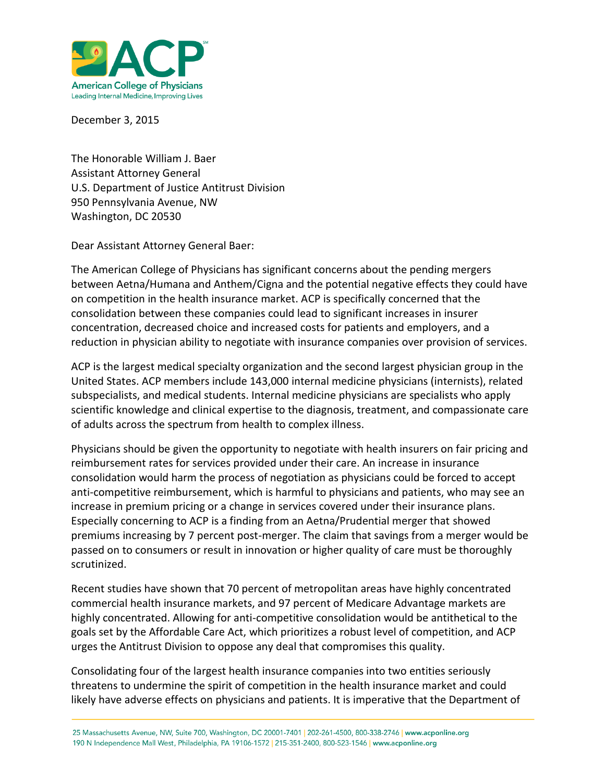

December 3, 2015

The Honorable William J. Baer Assistant Attorney General U.S. Department of Justice Antitrust Division 950 Pennsylvania Avenue, NW Washington, DC 20530

Dear Assistant Attorney General Baer:

The American College of Physicians has significant concerns about the pending mergers between Aetna/Humana and Anthem/Cigna and the potential negative effects they could have on competition in the health insurance market. ACP is specifically concerned that the consolidation between these companies could lead to significant increases in insurer concentration, decreased choice and increased costs for patients and employers, and a reduction in physician ability to negotiate with insurance companies over provision of services.

ACP is the largest medical specialty organization and the second largest physician group in the United States. ACP members include 143,000 internal medicine physicians (internists), related subspecialists, and medical students. Internal medicine physicians are specialists who apply scientific knowledge and clinical expertise to the diagnosis, treatment, and compassionate care of adults across the spectrum from health to complex illness.

Physicians should be given the opportunity to negotiate with health insurers on fair pricing and reimbursement rates for services provided under their care. An increase in insurance consolidation would harm the process of negotiation as physicians could be forced to accept anti-competitive reimbursement, which is harmful to physicians and patients, who may see an increase in premium pricing or a change in services covered under their insurance plans. Especially concerning to ACP is a finding from an Aetna/Prudential merger that showed premiums increasing by 7 percent post-merger. The claim that savings from a merger would be passed on to consumers or result in innovation or higher quality of care must be thoroughly scrutinized.

Recent studies have shown that 70 percent of metropolitan areas have highly concentrated commercial health insurance markets, and 97 percent of Medicare Advantage markets are highly concentrated. Allowing for anti-competitive consolidation would be antithetical to the goals set by the Affordable Care Act, which prioritizes a robust level of competition, and ACP urges the Antitrust Division to oppose any deal that compromises this quality.

Consolidating four of the largest health insurance companies into two entities seriously threatens to undermine the spirit of competition in the health insurance market and could likely have adverse effects on physicians and patients. It is imperative that the Department of